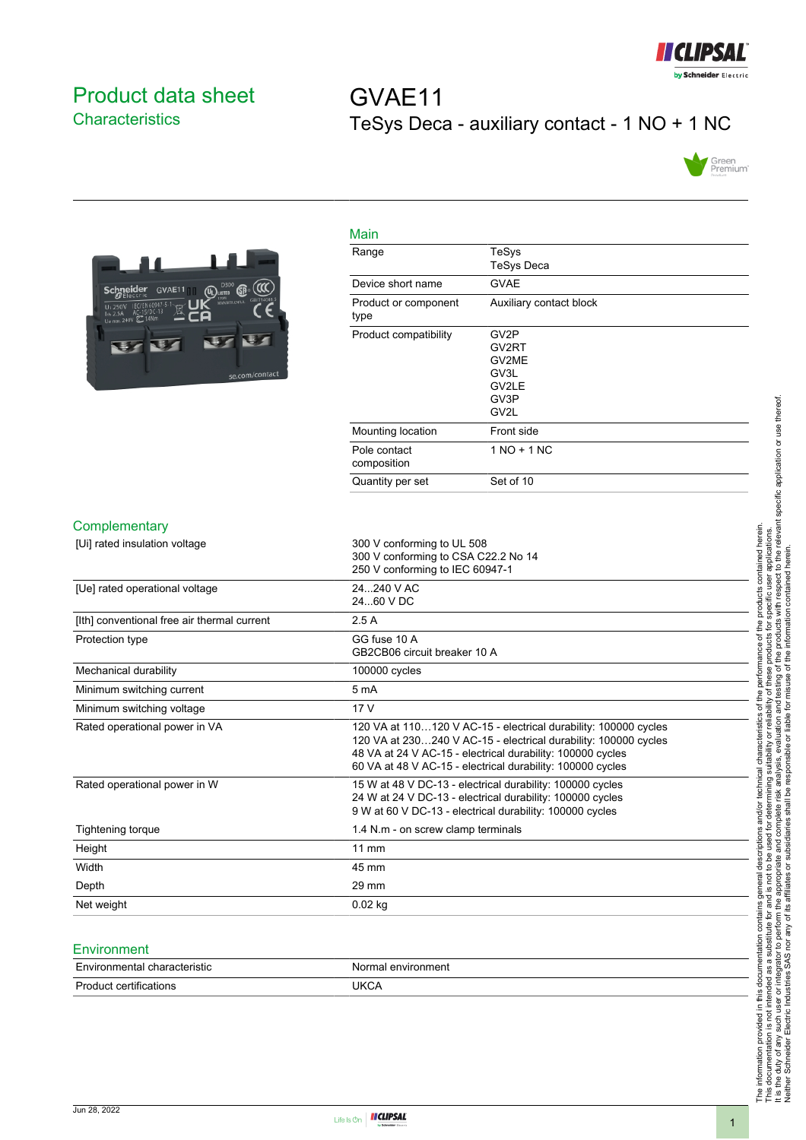

## <span id="page-0-0"></span>Product data sheet **Characteristics**

# GVAE11 TeSys Deca - auxiliary contact - 1 NO + 1 NC





| Main                         |                                                         |
|------------------------------|---------------------------------------------------------|
| Range                        | TeSys<br><b>TeSys Deca</b>                              |
| Device short name            | <b>GVAE</b>                                             |
| Product or component<br>type | Auxiliary contact block                                 |
| Product compatibility        | GV2P<br>GV2RT<br>GV2ME<br>GV3L<br>GV2LE<br>GV3P<br>GV2L |
| Mounting location            | Front side                                              |
| Pole contact<br>composition  | $1 NQ + 1 NC$                                           |
| Quantity per set             | Set of 10                                               |
|                              |                                                         |

#### **Complementary**

| [Ui] rated insulation voltage               | 300 V conforming to UL 508                                      |
|---------------------------------------------|-----------------------------------------------------------------|
|                                             | 300 V conforming to CSA C22.2 No 14                             |
|                                             | 250 V conforming to IEC 60947-1                                 |
| [Ue] rated operational voltage              | 24240 V AC                                                      |
|                                             | 24.60 V DC                                                      |
| [Ith] conventional free air thermal current | 2.5A                                                            |
| Protection type                             | GG fuse 10 A                                                    |
|                                             | GB2CB06 circuit breaker 10 A                                    |
| Mechanical durability                       | 100000 cycles                                                   |
| Minimum switching current                   | 5 <sub>m</sub> A                                                |
| Minimum switching voltage                   | 17 <sub>V</sub>                                                 |
| Rated operational power in VA               | 120 VA at 110120 V AC-15 - electrical durability: 100000 cycles |
|                                             | 120 VA at 230240 V AC-15 - electrical durability: 100000 cycles |
|                                             | 48 VA at 24 V AC-15 - electrical durability: 100000 cycles      |
|                                             | 60 VA at 48 V AC-15 - electrical durability: 100000 cycles      |
| Rated operational power in W                | 15 W at 48 V DC-13 - electrical durability: 100000 cycles       |
|                                             | 24 W at 24 V DC-13 - electrical durability: 100000 cycles       |
|                                             | 9 W at 60 V DC-13 - electrical durability: 100000 cycles        |
| Tightening torque                           | 1.4 N.m - on screw clamp terminals                              |
| Height                                      | 11 mm                                                           |
| Width                                       | 45 mm                                                           |
| Depth                                       | $29 \text{ mm}$                                                 |
| Net weight                                  | $0.02$ kg                                                       |
|                                             |                                                                 |

### **Environment**

| Environmental characteristic | Normal environment |
|------------------------------|--------------------|
| Product<br>≒certifications   | JKCA               |

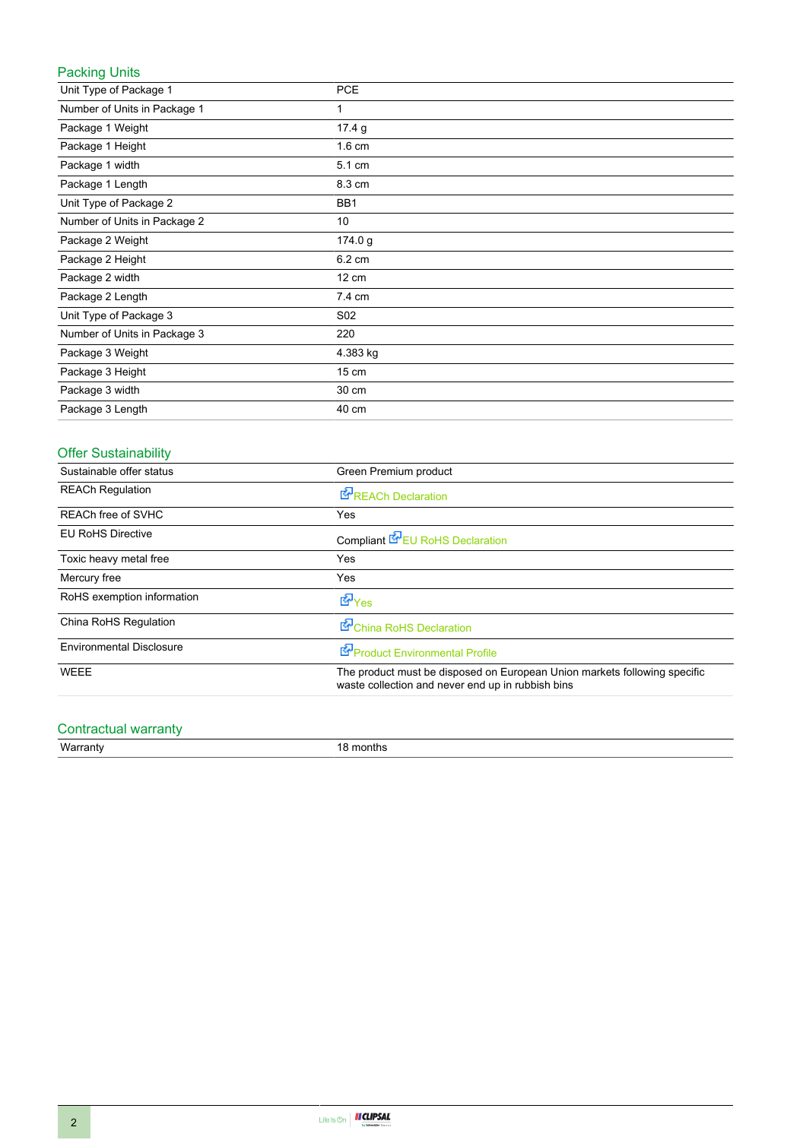## Packing Units

| Unit Type of Package 1       | <b>PCE</b>       |
|------------------------------|------------------|
| Number of Units in Package 1 | 1                |
| Package 1 Weight             | 17.4 g           |
| Package 1 Height             | $1.6 \text{ cm}$ |
| Package 1 width              | 5.1 cm           |
| Package 1 Length             | 8.3 cm           |
| Unit Type of Package 2       | BB1              |
| Number of Units in Package 2 | 10               |
| Package 2 Weight             | 174.0 g          |
| Package 2 Height             | 6.2 cm           |
| Package 2 width              | 12 cm            |
| Package 2 Length             | 7.4 cm           |
| Unit Type of Package 3       | S <sub>02</sub>  |
| Number of Units in Package 3 | 220              |
| Package 3 Weight             | 4.383 kg         |
| Package 3 Height             | 15 cm            |
| Package 3 width              | 30 cm            |
| Package 3 Length             | 40 cm            |

## Offer Sustainability

| Sustainable offer status        | Green Premium product                                                                                                          |
|---------------------------------|--------------------------------------------------------------------------------------------------------------------------------|
| <b>REACh Regulation</b>         | REACh Declaration                                                                                                              |
| REACh free of SVHC              | Yes                                                                                                                            |
| <b>EU RoHS Directive</b>        | Compliant EV EU RoHS Declaration                                                                                               |
| Toxic heavy metal free          | Yes                                                                                                                            |
| Mercury free                    | Yes                                                                                                                            |
| RoHS exemption information      | d Yes                                                                                                                          |
| China RoHS Regulation           | China RoHS Declaration                                                                                                         |
| <b>Environmental Disclosure</b> | Product Environmental Profile                                                                                                  |
| <b>WEEE</b>                     | The product must be disposed on European Union markets following specific<br>waste collection and never end up in rubbish bins |

## Contractual warranty

Warranty 18 months